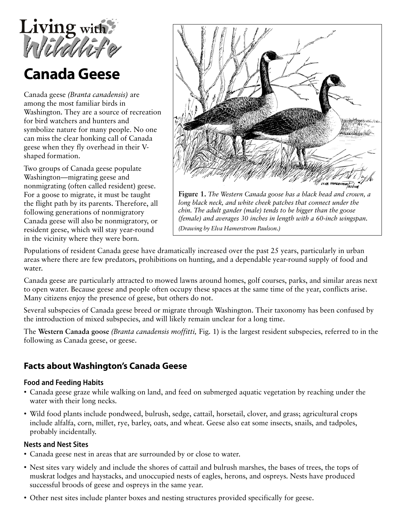

# **Canada Geese**

Canada geese *(Branta canadensis)* are among the most familiar birds in Washington. They are a source of recreation for bird watchers and hunters and symbolize nature for many people. No one can miss the clear honking call of Canada geese when they fly overhead in their Vshaped formation.

Two groups of Canada geese populate Washington—migrating geese and nonmigrating (often called resident) geese. For a goose to migrate, it must be taught the flight path by its parents. Therefore, all following generations of nonmigratory Canada geese will also be nonmigratory, or resident geese, which will stay year-round in the vicinity where they were born.



**Figure 1.** *The Western Canada goose has a black head and crown, a long black neck, and white cheek patches that connect under the chin. The adult gander (male) tends to be bigger than the goose (female) and averages 30 inches in length with a 60-inch wingspan. (Drawing by Elva Hamerstrom Paulson.)*

Populations of resident Canada geese have dramatically increased over the past 25 years, particularly in urban areas where there are few predators, prohibitions on hunting, and a dependable year-round supply of food and water.

Canada geese are particularly attracted to mowed lawns around homes, golf courses, parks, and similar areas next to open water. Because geese and people often occupy these spaces at the same time of the year, conflicts arise. Many citizens enjoy the presence of geese, but others do not.

Several subspecies of Canada geese breed or migrate through Washington. Their taxonomy has been confused by the introduction of mixed subspecies, and will likely remain unclear for a long time.

The **Western Canada goose** *(Branta canadensis moffitti,* Fig. 1) is the largest resident subspecies, referred to in the following as Canada geese, or geese.

# **Facts about Washington's Canada Geese**

#### **Food and Feeding Habits**

- Canada geese graze while walking on land, and feed on submerged aquatic vegetation by reaching under the water with their long necks.
- Wild food plants include pondweed, bulrush, sedge, cattail, horsetail, clover, and grass; agricultural crops include alfalfa, corn, millet, rye, barley, oats, and wheat. Geese also eat some insects, snails, and tadpoles, probably incidentally.

#### **Nests and Nest Sites**

- Canada geese nest in areas that are surrounded by or close to water.
- Nest sites vary widely and include the shores of cattail and bulrush marshes, the bases of trees, the tops of muskrat lodges and haystacks, and unoccupied nests of eagles, herons, and ospreys. Nests have produced successful broods of geese and ospreys in the same year.
- Other nest sites include planter boxes and nesting structures provided specifically for geese.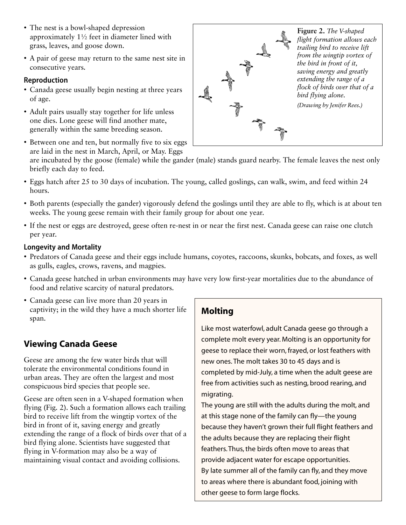- The nest is a bowl-shaped depression approximately 1½ feet in diameter lined with grass, leaves, and goose down.
- A pair of geese may return to the same nest site in consecutive years.

#### **Reproduction**

- Canada geese usually begin nesting at three years of age.
- Adult pairs usually stay together for life unless one dies. Lone geese will find another mate, generally within the same breeding season.
- Between one and ten, but normally five to six eggs are laid in the nest in March, April, or May. Eggs



are incubated by the goose (female) while the gander (male) stands guard nearby. The female leaves the nest only briefly each day to feed.

- Eggs hatch after 25 to 30 days of incubation. The young, called goslings, can walk, swim, and feed within 24 hours.
- Both parents (especially the gander) vigorously defend the goslings until they are able to fly, which is at about ten weeks. The young geese remain with their family group for about one year.
- If the nest or eggs are destroyed, geese often re-nest in or near the first nest. Canada geese can raise one clutch per year.

#### **Longevity and Mortality**

- Predators of Canada geese and their eggs include humans, coyotes, raccoons, skunks, bobcats, and foxes, as well as gulls, eagles, crows, ravens, and magpies.
- Canada geese hatched in urban environments may have very low first-year mortalities due to the abundance of food and relative scarcity of natural predators.
- Canada geese can live more than 20 years in captivity; in the wild they have a much shorter life span.

# **Viewing Canada Geese**

Geese are among the few water birds that will tolerate the environmental conditions found in urban areas. They are often the largest and most conspicuous bird species that people see.

Geese are often seen in a V-shaped formation when flying (Fig. 2). Such a formation allows each trailing bird to receive lift from the wingtip vortex of the bird in front of it, saving energy and greatly extending the range of a flock of birds over that of a bird flying alone. Scientists have suggested that flying in V-formation may also be a way of maintaining visual contact and avoiding collisions.

# **Molting**

Like most waterfowl, adult Canada geese go through a complete molt every year. Molting is an opportunity for geese to replace their worn, frayed, or lost feathers with new ones. The molt takes 30 to 45 days and is completed by mid-July, a time when the adult geese are free from activities such as nesting, brood rearing, and migrating.

The young are still with the adults during the molt, and at this stage none of the family can fly—the young because they haven't grown their full flight feathers and the adults because they are replacing their flight feathers. Thus, the birds often move to areas that provide adjacent water for escape opportunities. By late summer all of the family can fly, and they move to areas where there is abundant food, joining with other geese to form large flocks.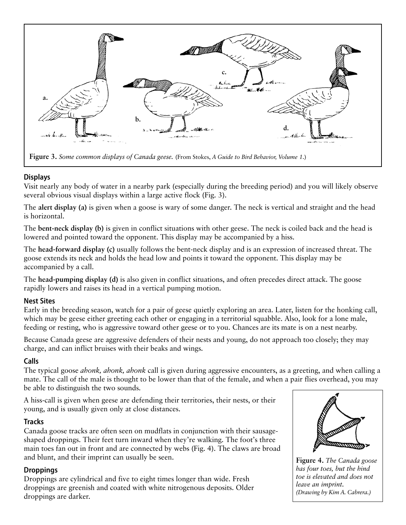

#### **Displays**

Visit nearly any body of water in a nearby park (especially during the breeding period) and you will likely observe several obvious visual displays within a large active flock (Fig. 3).

The **alert display (a)** is given when a goose is wary of some danger. The neck is vertical and straight and the head is horizontal.

The **bent-neck display (b)** is given in conflict situations with other geese. The neck is coiled back and the head is lowered and pointed toward the opponent. This display may be accompanied by a hiss.

The **head-forward display (c)** usually follows the bent-neck display and is an expression of increased threat. The goose extends its neck and holds the head low and points it toward the opponent. This display may be accompanied by a call.

The **head-pumping display (d)** is also given in conflict situations, and often precedes direct attack. The goose rapidly lowers and raises its head in a vertical pumping motion.

#### **Nest Sites**

Early in the breeding season, watch for a pair of geese quietly exploring an area. Later, listen for the honking call, which may be geese either greeting each other or engaging in a territorial squabble. Also, look for a lone male, feeding or resting, who is aggressive toward other geese or to you. Chances are its mate is on a nest nearby.

Because Canada geese are aggressive defenders of their nests and young, do not approach too closely; they may charge, and can inflict bruises with their beaks and wings.

#### **Calls**

The typical goose *ahonk, ahonk, ahonk* call is given during aggressive encounters, as a greeting, and when calling a mate. The call of the male is thought to be lower than that of the female, and when a pair flies overhead, you may be able to distinguish the two sounds.

A hiss-call is given when geese are defending their territories, their nests, or their young, and is usually given only at close distances.

#### **Tracks**

Canada goose tracks are often seen on mudflats in conjunction with their sausageshaped droppings. Their feet turn inward when they're walking. The foot's three main toes fan out in front and are connected by webs (Fig. 4). The claws are broad and blunt, and their imprint can usually be seen.

#### **Droppings**

Droppings are cylindrical and five to eight times longer than wide. Fresh droppings are greenish and coated with white nitrogenous deposits. Older droppings are darker.



**Figure 4.** *The Canada goose has four toes, but the hind toe is elevated and does not leave an imprint. (Drawing by Kim A. Cabrera.)*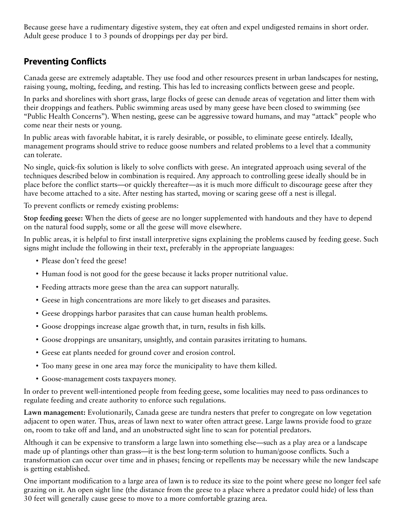Because geese have a rudimentary digestive system, they eat often and expel undigested remains in short order. Adult geese produce 1 to 3 pounds of droppings per day per bird.

# **Preventing Conflicts**

Canada geese are extremely adaptable. They use food and other resources present in urban landscapes for nesting, raising young, molting, feeding, and resting. This has led to increasing conflicts between geese and people.

In parks and shorelines with short grass, large flocks of geese can denude areas of vegetation and litter them with their droppings and feathers. Public swimming areas used by many geese have been closed to swimming (see "Public Health Concerns"). When nesting, geese can be aggressive toward humans, and may "attack" people who come near their nests or young.

In public areas with favorable habitat, it is rarely desirable, or possible, to eliminate geese entirely. Ideally, management programs should strive to reduce goose numbers and related problems to a level that a community can tolerate.

No single, quick-fix solution is likely to solve conflicts with geese. An integrated approach using several of the techniques described below in combination is required. Any approach to controlling geese ideally should be in place before the conflict starts—or quickly thereafter—as it is much more difficult to discourage geese after they have become attached to a site. After nesting has started, moving or scaring geese off a nest is illegal.

To prevent conflicts or remedy existing problems:

**Stop feeding geese:** When the diets of geese are no longer supplemented with handouts and they have to depend on the natural food supply, some or all the geese will move elsewhere.

In public areas, it is helpful to first install interpretive signs explaining the problems caused by feeding geese. Such signs might include the following in their text, preferably in the appropriate languages:

- Please don't feed the geese!
- Human food is not good for the geese because it lacks proper nutritional value.
- Feeding attracts more geese than the area can support naturally.
- Geese in high concentrations are more likely to get diseases and parasites.
- Geese droppings harbor parasites that can cause human health problems.
- Goose droppings increase algae growth that, in turn, results in fish kills.
- Goose droppings are unsanitary, unsightly, and contain parasites irritating to humans.
- Geese eat plants needed for ground cover and erosion control.
- Too many geese in one area may force the municipality to have them killed.
- Goose-management costs taxpayers money.

In order to prevent well-intentioned people from feeding geese, some localities may need to pass ordinances to regulate feeding and create authority to enforce such regulations.

**Lawn management:** Evolutionarily, Canada geese are tundra nesters that prefer to congregate on low vegetation adjacent to open water. Thus, areas of lawn next to water often attract geese. Large lawns provide food to graze on, room to take off and land, and an unobstructed sight line to scan for potential predators.

Although it can be expensive to transform a large lawn into something else—such as a play area or a landscape made up of plantings other than grass—it is the best long-term solution to human/goose conflicts. Such a transformation can occur over time and in phases; fencing or repellents may be necessary while the new landscape is getting established.

One important modification to a large area of lawn is to reduce its size to the point where geese no longer feel safe grazing on it. An open sight line (the distance from the geese to a place where a predator could hide) of less than 30 feet will generally cause geese to move to a more comfortable grazing area.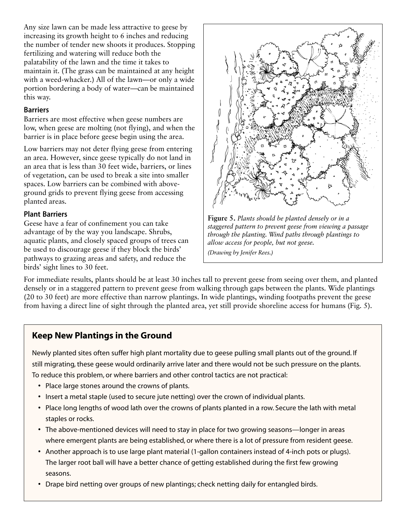Any size lawn can be made less attractive to geese by increasing its growth height to 6 inches and reducing the number of tender new shoots it produces. Stopping fertilizing and watering will reduce both the palatability of the lawn and the time it takes to maintain it. (The grass can be maintained at any height with a weed-whacker.) All of the lawn—or only a wide portion bordering a body of water—can be maintained this way.

#### **Barriers**

Barriers are most effective when geese numbers are low, when geese are molting (not flying), and when the barrier is in place before geese begin using the area.

Low barriers may not deter flying geese from entering an area. However, since geese typically do not land in an area that is less than 30 feet wide, barriers, or lines of vegetation, can be used to break a site into smaller spaces. Low barriers can be combined with aboveground grids to prevent flying geese from accessing planted areas.

#### **Plant Barriers**

Geese have a fear of confinement you can take advantage of by the way you landscape. Shrubs, aquatic plants, and closely spaced groups of trees can be used to discourage geese if they block the birds' pathways to grazing areas and safety, and reduce the birds' sight lines to 30 feet.



**Figure 5.** *Plants should be planted densely or in a staggered pattern to prevent geese from viewing a passage through the planting. Wind paths through plantings to allow access for people, but not geese. (Drawing by Jenifer Rees.)*

For immediate results, plants should be at least 30 inches tall to prevent geese from seeing over them, and planted densely or in a staggered pattern to prevent geese from walking through gaps between the plants. Wide plantings (20 to 30 feet) are more effective than narrow plantings. In wide plantings, winding footpaths prevent the geese from having a direct line of sight through the planted area, yet still provide shoreline access for humans (Fig. 5).

# **Keep New Plantings in the Ground**

Newly planted sites often suffer high plant mortality due to geese pulling small plants out of the ground. If still migrating, these geese would ordinarily arrive later and there would not be such pressure on the plants. To reduce this problem, or where barriers and other control tactics are not practical:

- Place large stones around the crowns of plants.
- Insert a metal staple (used to secure jute netting) over the crown of individual plants.
- Place long lengths of wood lath over the crowns of plants planted in a row. Secure the lath with metal staples or rocks.
- The above-mentioned devices will need to stay in place for two growing seasons—longer in areas where emergent plants are being established, or where there is a lot of pressure from resident geese.
- Another approach is to use large plant material (1-gallon containers instead of 4-inch pots or plugs). The larger root ball will have a better chance of getting established during the first few growing seasons.
- Drape bird netting over groups of new plantings; check netting daily for entangled birds.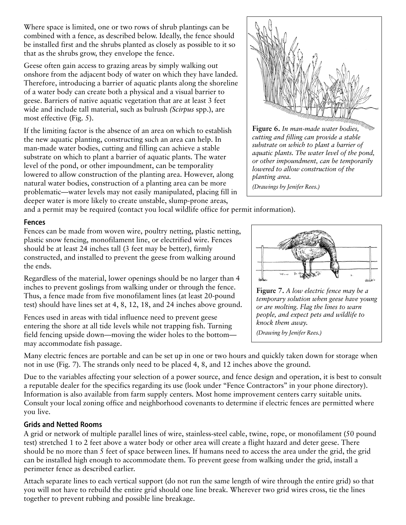Where space is limited, one or two rows of shrub plantings can be combined with a fence, as described below. Ideally, the fence should be installed first and the shrubs planted as closely as possible to it so that as the shrubs grow, they envelope the fence.

Geese often gain access to grazing areas by simply walking out onshore from the adjacent body of water on which they have landed. Therefore, introducing a barrier of aquatic plants along the shoreline of a water body can create both a physical and a visual barrier to geese. Barriers of native aquatic vegetation that are at least 3 feet wide and include tall material, such as bulrush *(Scirpus* spp.), are most effective (Fig. 5).

If the limiting factor is the absence of an area on which to establish the new aquatic planting, constructing such an area can help. In man-made water bodies, cutting and filling can achieve a stable substrate on which to plant a barrier of aquatic plants. The water level of the pond, or other impoundment, can be temporality lowered to allow construction of the planting area. However, along natural water bodies, construction of a planting area can be more problematic—water levels may not easily manipulated, placing fill in deeper water is more likely to create unstable, slump-prone areas,



**Figure 6.** *In man-made water bodies, cutting and filling can provide a stable substrate on which to plant a barrier of aquatic plants. The water level of the pond, or other impoundment, can be temporarily lowered to allow construction of the planting area.*

*(Drawings by Jenifer Rees.)*

and a permit may be required (contact you local wildlife office for permit information).

#### **Fences**

Fences can be made from woven wire, poultry netting, plastic netting, plastic snow fencing, monofilament line, or electrified wire. Fences should be at least 24 inches tall (3 feet may be better), firmly constructed, and installed to prevent the geese from walking around the ends.

Regardless of the material, lower openings should be no larger than 4 inches to prevent goslings from walking under or through the fence. Thus, a fence made from five monofilament lines (at least 20-pound test) should have lines set at 4, 8, 12, 18, and 24 inches above ground.

Fences used in areas with tidal influence need to prevent geese entering the shore at all tide levels while not trapping fish. Turning field fencing upside down—moving the wider holes to the bottom may accommodate fish passage.



Due to the variables affecting your selection of a power source, and fence design and operation, it is best to consult a reputable dealer for the specifics regarding its use (look under "Fence Contractors" in your phone directory). Information is also available from farm supply centers. Most home improvement centers carry suitable units. Consult your local zoning office and neighborhood covenants to determine if electric fences are permitted where you live.

#### **Grids and Netted Rooms**

A grid or network of multiple parallel lines of wire, stainless-steel cable, twine, rope, or monofilament (50 pound test) stretched 1 to 2 feet above a water body or other area will create a flight hazard and deter geese. There should be no more than 5 feet of space between lines. If humans need to access the area under the grid, the grid can be installed high enough to accommodate them. To prevent geese from walking under the grid, install a perimeter fence as described earlier.

Attach separate lines to each vertical support (do not run the same length of wire through the entire grid) so that you will not have to rebuild the entire grid should one line break. Wherever two grid wires cross, tie the lines together to prevent rubbing and possible line breakage.



**Figure 7.** *A low electric fence may be a temporary solution when geese have young or are molting. Flag the lines to warn people, and expect pets and wildlife to knock them away. (Drawing by Jenifer Rees.)*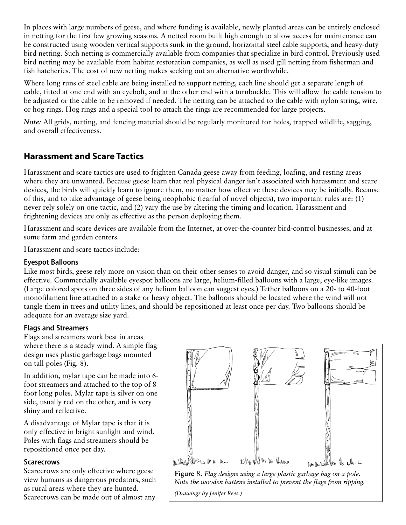In places with large numbers of geese, and where funding is available, newly planted areas can be entirely enclosed in netting for the first few growing seasons. A netted room built high enough to allow access for maintenance can be constructed using wooden vertical supports sunk in the ground, horizontal steel cable supports, and heavy-duty bird netting. Such netting is commercially available from companies that specialize in bird control. Previously used bird netting may be available from habitat restoration companies, as well as used gill netting from fisherman and fish hatcheries. The cost of new netting makes seeking out an alternative worthwhile.

Where long runs of steel cable are being installed to support netting, each line should get a separate length of cable, fitted at one end with an eyebolt, and at the other end with a turnbuckle. This will allow the cable tension to be adjusted or the cable to be removed if needed. The netting can be attached to the cable with nylon string, wire, or hog rings. Hog rings and a special tool to attach the rings are recommended for large projects.

*Note*: All grids, netting, and fencing material should be regularly monitored for holes, trapped wildlife, sagging, and overall effectiveness.

# **Harassment and Scare Tactics**

Harassment and scare tactics are used to frighten Canada geese away from feeding, loafing, and resting areas where they are unwanted. Because geese learn that real physical danger isn't associated with harassment and scare devices, the birds will quickly learn to ignore them, no matter how effective these devices may be initially. Because of this, and to take advantage of geese being neophobic (fearful of novel objects), two important rules are: (1) never rely solely on one tactic, and (2) vary the use by altering the timing and location. Harassment and frightening devices are only as effective as the person deploying them.

Harassment and scare devices are available from the Internet, at over-the-counter bird-control businesses, and at some farm and garden centers.

Harassment and scare tactics include:

#### **Eyespot Balloons**

Like most birds, geese rely more on vision than on their other senses to avoid danger, and so visual stimuli can be effective. Commercially available eyespot balloons are large, helium-filled balloons with a large, eye-like images. (Large colored spots on three sides of any helium balloon can suggest eyes.) Tether balloons on a 20- to 40-foot monofilament line attached to a stake or heavy object. The balloons should be located where the wind will not tangle them in trees and utility lines, and should be repositioned at least once per day. Two balloons should be adequate for an average size yard.

#### **Flags and Streamers**

Flags and streamers work best in areas where there is a steady wind. A simple flag design uses plastic garbage bags mounted on tall poles (Fig. 8).

In addition, mylar tape can be made into 6 foot streamers and attached to the top of 8 foot long poles. Mylar tape is silver on one side, usually red on the other, and is very shiny and reflective.

A disadvantage of Mylar tape is that it is only effective in bright sunlight and wind. Poles with flags and streamers should be repositioned once per day.

#### **Scarecrows**

Scarecrows are only effective where geese view humans as dangerous predators, such as rural areas where they are hunted. Scarecrows can be made out of almost any



**Figure 8.** *Flag designs using a large plastic garbage bag on a pole. Note the wooden battens installed to prevent the flags from ripping. (Drawings by Jenifer Rees.)*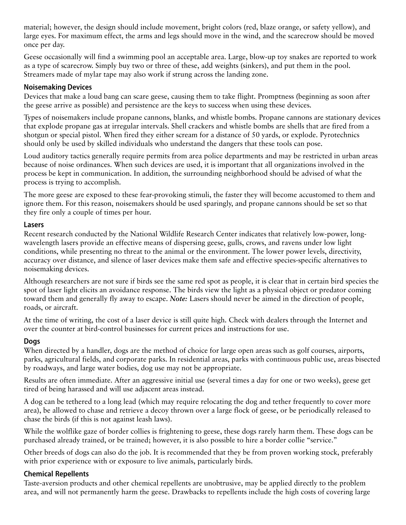material; however, the design should include movement, bright colors (red, blaze orange, or safety yellow), and large eyes. For maximum effect, the arms and legs should move in the wind, and the scarecrow should be moved once per day.

Geese occasionally will find a swimming pool an acceptable area. Large, blow-up toy snakes are reported to work as a type of scarecrow. Simply buy two or three of these, add weights (sinkers), and put them in the pool. Streamers made of mylar tape may also work if strung across the landing zone.

#### **Noisemaking Devices**

Devices that make a loud bang can scare geese, causing them to take flight. Promptness (beginning as soon after the geese arrive as possible) and persistence are the keys to success when using these devices.

Types of noisemakers include propane cannons, blanks, and whistle bombs. Propane cannons are stationary devices that explode propane gas at irregular intervals. Shell crackers and whistle bombs are shells that are fired from a shotgun or special pistol. When fired they either scream for a distance of 50 yards, or explode. Pyrotechnics should only be used by skilled individuals who understand the dangers that these tools can pose.

Loud auditory tactics generally require permits from area police departments and may be restricted in urban areas because of noise ordinances. When such devices are used, it is important that all organizations involved in the process be kept in communication. In addition, the surrounding neighborhood should be advised of what the process is trying to accomplish.

The more geese are exposed to these fear-provoking stimuli, the faster they will become accustomed to them and ignore them. For this reason, noisemakers should be used sparingly, and propane cannons should be set so that they fire only a couple of times per hour.

#### **Lasers**

Recent research conducted by the National Wildlife Research Center indicates that relatively low-power, longwavelength lasers provide an effective means of dispersing geese, gulls, crows, and ravens under low light conditions, while presenting no threat to the animal or the environment. The lower power levels, directivity, accuracy over distance, and silence of laser devices make them safe and effective species-specific alternatives to noisemaking devices.

Although researchers are not sure if birds see the same red spot as people, it is clear that in certain bird species the spot of laser light elicits an avoidance response. The birds view the light as a physical object or predator coming toward them and generally fly away to escape. *Note:* Lasers should never be aimed in the direction of people, roads, or aircraft.

At the time of writing, the cost of a laser device is still quite high. Check with dealers through the Internet and over the counter at bird-control businesses for current prices and instructions for use.

#### **Dogs**

When directed by a handler, dogs are the method of choice for large open areas such as golf courses, airports, parks, agricultural fields, and corporate parks. In residential areas, parks with continuous public use, areas bisected by roadways, and large water bodies, dog use may not be appropriate.

Results are often immediate. After an aggressive initial use (several times a day for one or two weeks), geese get tired of being harassed and will use adjacent areas instead.

A dog can be tethered to a long lead (which may require relocating the dog and tether frequently to cover more area), be allowed to chase and retrieve a decoy thrown over a large flock of geese, or be periodically released to chase the birds (if this is not against leash laws).

While the wolflike gaze of border collies is frightening to geese, these dogs rarely harm them. These dogs can be purchased already trained, or be trained; however, it is also possible to hire a border collie "service."

Other breeds of dogs can also do the job. It is recommended that they be from proven working stock, preferably with prior experience with or exposure to live animals, particularly birds.

#### **Chemical Repellents**

Taste-aversion products and other chemical repellents are unobtrusive, may be applied directly to the problem area, and will not permanently harm the geese. Drawbacks to repellents include the high costs of covering large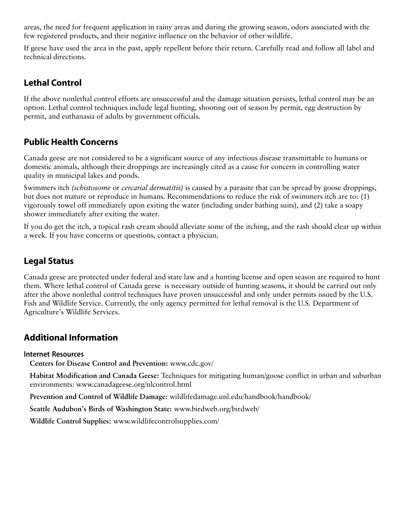areas, the need for frequent application in rainy areas and during the growing season, odors associated with the few registered products, and their negative influence on the behavior of other wildlife.

If geese have used the area in the past, apply repellent before their return. Carefully read and follow all label and technical directions.

# **Lethal Control**

If the above nonlethal control efforts are unsuccessful and the damage situation persists, lethal control may be an option. Lethal control techniques include legal hunting, shooting out of season by permit, egg destruction by permit, and euthanasia of adults by government officials.

# **Public Health Concerns**

Canada geese are not considered to be a significant source of any infectious disease transmittable to humans or domestic animals, although their droppings are increasingly cited as a cause for concern in controlling water quality in municipal lakes and ponds.

Swimmers itch *(schistosome* or *cercarial dermatitis)* is caused by a parasite that can be spread by goose droppings, but does not mature or reproduce in humans. Recommendations to reduce the risk of swimmers itch are to: (1) vigorously towel off immediately upon exiting the water (including under bathing suits), and (2) take a soapy shower immediately after exiting the water.

If you do get the itch, a topical rash cream should alleviate some of the itching, and the rash should clear up within a week. If you have concerns or questions, contact a physician.

### **Legal Status**

Canada geese are protected under federal and state law and a hunting license and open season are required to hunt them. Where lethal control of Canada geese is necessary outside of hunting seasons, it should be carried out only after the above nonlethal control techniques have proven unsuccessful and only under permits issued by the U.S. Fish and Wildlife Service. Currently, the only agency permitted for lethal removal is the U.S. Department of Agriculture's Wildlife Services.

# **Additional Information**

#### **Internet Resources**

**Centers for Disease Control and Prevention:** www.cdc.gov/

**Habitat Modification and Canada Geese:** Techniques for mitigating human/goose conflict in urban and suburban environments: www.canadageese.org/nlcontrol.html

**Prevention and Control of Wildlife Damage:** wildlifedamage.unl.edu/handbook/handbook/

**Seattle Audubon's Birds of Washington State:** www.birdweb.org/birdweb/

**Wildlife Control Supplies:** www.wildlifecontrolsupplies.com/